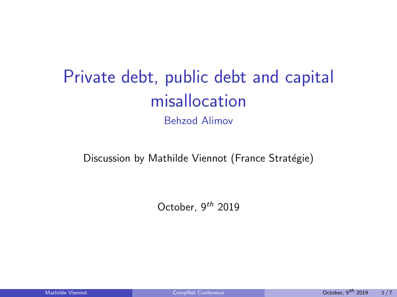# <span id="page-0-0"></span>Private debt, public debt and capital misallocation

Behzod Alimov

Discussion by Mathilde Viennot (France Stratégie)

October,  $9^{th}$  2019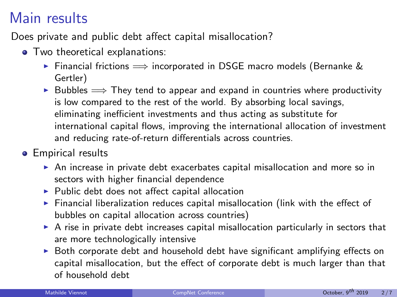## Main results

Does private and public debt affect capital misallocation?

- Two theoretical explanations:
	- ► Financial frictions  $\implies$  incorporated in DSGE macro models (Bernanke & Gertler)
	- ► Bubbles  $\implies$  They tend to appear and expand in countries where productivity is low compared to the rest of the world. By absorbing local savings, eliminating inefficient investments and thus acting as substitute for international capital flows, improving the international allocation of investment and reducing rate-of-return differentials across countries.
- **•** Empirical results
	- $\triangleright$  An increase in private debt exacerbates capital misallocation and more so in sectors with higher financial dependence
	- $\blacktriangleright$  Public debt does not affect capital allocation
	- $\blacktriangleright$  Financial liberalization reduces capital misallocation (link with the effect of bubbles on capital allocation across countries)
	- $\triangleright$  A rise in private debt increases capital misallocation particularly in sectors that are more technologically intensive
	- $\triangleright$  Both corporate debt and household debt have significant amplifying effects on capital misallocation, but the effect of corporate debt is much larger than that of household debt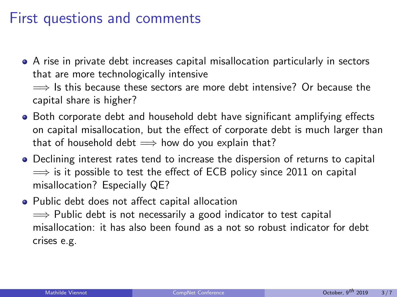### First questions and comments

- A rise in private debt increases capital misallocation particularly in sectors that are more technologically intensive  $\implies$  Is this because these sectors are more debt intensive? Or because the capital share is higher?
- Both corporate debt and household debt have significant amplifying effects on capital misallocation, but the effect of corporate debt is much larger than that of household debt  $\implies$  how do you explain that?
- **•** Declining interest rates tend to increase the dispersion of returns to capital  $\Rightarrow$  is it possible to test the effect of ECB policy since 2011 on capital misallocation? Especially QE?
- Public debt does not affect capital allocation  $\implies$  Public debt is not necessarily a good indicator to test capital misallocation: it has also been found as a not so robust indicator for debt crises e.g.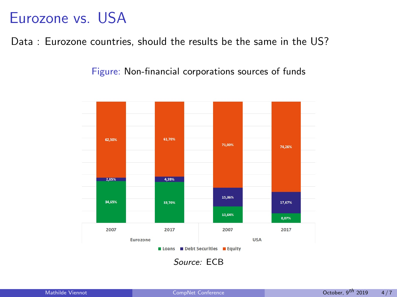## Eurozone vs. USA

Data : Eurozone countries, should the results be the same in the US?

Figure: Non-financial corporations sources of funds

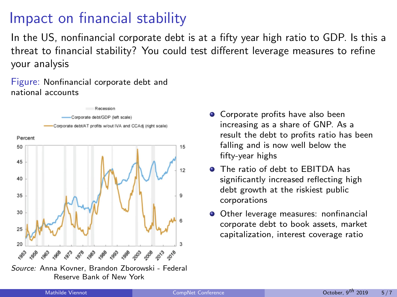# Impact on financial stability

In the US, nonfinancial corporate debt is at a fifty year high ratio to GDP. Is this a threat to financial stability? You could test different leverage measures to refine your analysis

Figure: Nonfinancial corporate debt and national accounts



- Corporate profits have also been increasing as a share of GNP. As a result the debt to profits ratio has been falling and is now well below the fifty-year highs
- **O** The ratio of debt to **FBITDA** has significantly increased reflecting high debt growth at the riskiest public corporations
- Other leverage measures: nonfinancial corporate debt to book assets, market capitalization, interest coverage ratio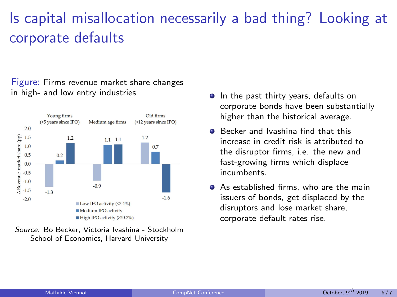# Is capital misallocation necessarily a bad thing? Looking at corporate defaults

#### Figure: Firms revenue market share changes in high- and low entry industries



Source: Bo Becker, Victoria Ivashina - Stockholm School of Economics, Harvard University

- **In the past thirty years, defaults on** corporate bonds have been substantially higher than the historical average.
- Becker and Ivashina find that this increase in credit risk is attributed to the disruptor firms, i.e. the new and fast-growing firms which displace incumbents.
- **•** As established firms, who are the main issuers of bonds, get displaced by the disruptors and lose market share, corporate default rates rise.